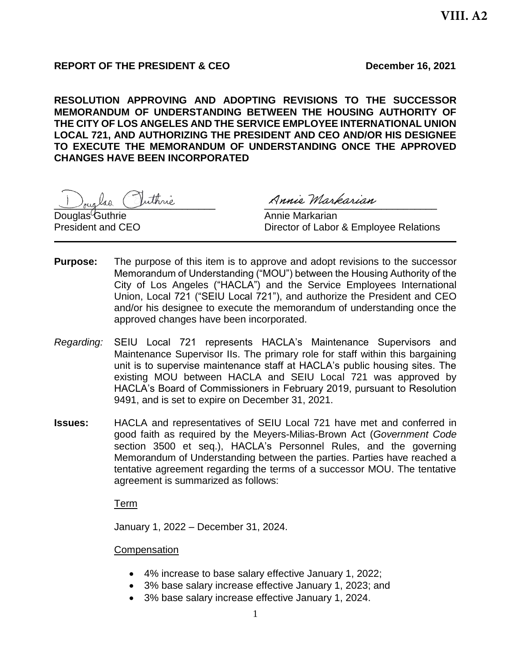# **REPORT OF THE PRESIDENT & CEO December 16, 2021**

**RESOLUTION APPROVING AND ADOPTING REVISIONS TO THE SUCCESSOR MEMORANDUM OF UNDERSTANDING BETWEEN THE HOUSING AUTHORITY OF THE CITY OF LOS ANGELES AND THE SERVICE EMPLOYEE INTERNATIONAL UNION LOCAL 721, AND AUTHORIZING THE PRESIDENT AND CEO AND/OR HIS DESIGNEE TO EXECUTE THE MEMORANDUM OF UNDERSTANDING ONCE THE APPROVED CHANGES HAVE BEEN INCORPORATED**

Jouglas Inthrie Ranie Markarian

Douglas Guthrie **Annie Markarian** 

President and CEO **Director of Labor & Employee Relations** 

- **Purpose:** The purpose of this item is to approve and adopt revisions to the successor Memorandum of Understanding ("MOU") between the Housing Authority of the City of Los Angeles ("HACLA") and the Service Employees International Union, Local 721 ("SEIU Local 721"), and authorize the President and CEO and/or his designee to execute the memorandum of understanding once the approved changes have been incorporated.
- *Regarding:* SEIU Local 721 represents HACLA's Maintenance Supervisors and Maintenance Supervisor IIs. The primary role for staff within this bargaining unit is to supervise maintenance staff at HACLA's public housing sites. The existing MOU between HACLA and SEIU Local 721 was approved by HACLA's Board of Commissioners in February 2019, pursuant to Resolution 9491, and is set to expire on December 31, 2021.
- **Issues:** HACLA and representatives of SEIU Local 721 have met and conferred in good faith as required by the Meyers-Milias-Brown Act (*Government Code* section 3500 et seq.), HACLA's Personnel Rules, and the governing Memorandum of Understanding between the parties. Parties have reached a tentative agreement regarding the terms of a successor MOU. The tentative agreement is summarized as follows:

Term

January 1, 2022 – December 31, 2024.

**Compensation** 

- 4% increase to base salary effective January 1, 2022;
- 3% base salary increase effective January 1, 2023; and
- 3% base salary increase effective January 1, 2024.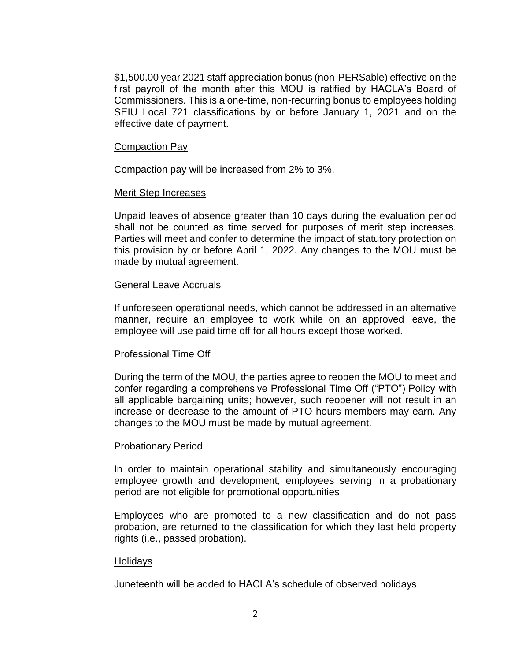\$1,500.00 year 2021 staff appreciation bonus (non-PERSable) effective on the first payroll of the month after this MOU is ratified by HACLA's Board of Commissioners. This is a one-time, non-recurring bonus to employees holding SEIU Local 721 classifications by or before January 1, 2021 and on the effective date of payment.

#### Compaction Pay

Compaction pay will be increased from 2% to 3%.

### Merit Step Increases

Unpaid leaves of absence greater than 10 days during the evaluation period shall not be counted as time served for purposes of merit step increases. Parties will meet and confer to determine the impact of statutory protection on this provision by or before April 1, 2022. Any changes to the MOU must be made by mutual agreement.

### General Leave Accruals

If unforeseen operational needs, which cannot be addressed in an alternative manner, require an employee to work while on an approved leave, the employee will use paid time off for all hours except those worked.

### Professional Time Off

During the term of the MOU, the parties agree to reopen the MOU to meet and confer regarding a comprehensive Professional Time Off ("PTO") Policy with all applicable bargaining units; however, such reopener will not result in an increase or decrease to the amount of PTO hours members may earn. Any changes to the MOU must be made by mutual agreement.

### Probationary Period

In order to maintain operational stability and simultaneously encouraging employee growth and development, employees serving in a probationary period are not eligible for promotional opportunities

Employees who are promoted to a new classification and do not pass probation, are returned to the classification for which they last held property rights (i.e., passed probation).

### Holidays

Juneteenth will be added to HACLA's schedule of observed holidays.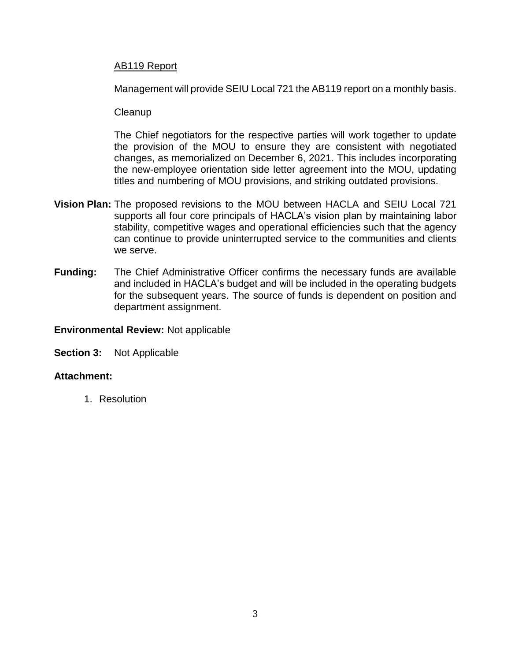## AB119 Report

Management will provide SEIU Local 721 the AB119 report on a monthly basis.

### **Cleanup**

The Chief negotiators for the respective parties will work together to update the provision of the MOU to ensure they are consistent with negotiated changes, as memorialized on December 6, 2021. This includes incorporating the new-employee orientation side letter agreement into the MOU, updating titles and numbering of MOU provisions, and striking outdated provisions.

- **Vision Plan:** The proposed revisions to the MOU between HACLA and SEIU Local 721 supports all four core principals of HACLA's vision plan by maintaining labor stability, competitive wages and operational efficiencies such that the agency can continue to provide uninterrupted service to the communities and clients we serve.
- **Funding:** The Chief Administrative Officer confirms the necessary funds are available and included in HACLA's budget and will be included in the operating budgets for the subsequent years. The source of funds is dependent on position and department assignment.

### **Environmental Review:** Not applicable

**Section 3:** Not Applicable

## **Attachment:**

1. Resolution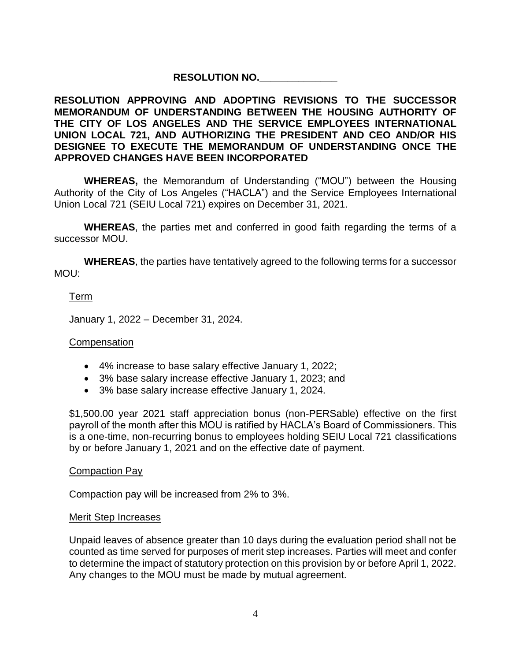# **RESOLUTION NO.\_\_\_\_\_\_\_\_\_\_\_\_\_\_**

**RESOLUTION APPROVING AND ADOPTING REVISIONS TO THE SUCCESSOR MEMORANDUM OF UNDERSTANDING BETWEEN THE HOUSING AUTHORITY OF THE CITY OF LOS ANGELES AND THE SERVICE EMPLOYEES INTERNATIONAL UNION LOCAL 721, AND AUTHORIZING THE PRESIDENT AND CEO AND/OR HIS DESIGNEE TO EXECUTE THE MEMORANDUM OF UNDERSTANDING ONCE THE APPROVED CHANGES HAVE BEEN INCORPORATED**

**WHEREAS,** the Memorandum of Understanding ("MOU") between the Housing Authority of the City of Los Angeles ("HACLA") and the Service Employees International Union Local 721 (SEIU Local 721) expires on December 31, 2021.

**WHEREAS**, the parties met and conferred in good faith regarding the terms of a successor MOU.

**WHEREAS**, the parties have tentatively agreed to the following terms for a successor MOU:

# Term

January 1, 2022 – December 31, 2024.

## **Compensation**

- 4% increase to base salary effective January 1, 2022;
- 3% base salary increase effective January 1, 2023; and
- 3% base salary increase effective January 1, 2024.

\$1,500.00 year 2021 staff appreciation bonus (non-PERSable) effective on the first payroll of the month after this MOU is ratified by HACLA's Board of Commissioners. This is a one-time, non-recurring bonus to employees holding SEIU Local 721 classifications by or before January 1, 2021 and on the effective date of payment.

## Compaction Pay

Compaction pay will be increased from 2% to 3%.

### Merit Step Increases

Unpaid leaves of absence greater than 10 days during the evaluation period shall not be counted as time served for purposes of merit step increases. Parties will meet and confer to determine the impact of statutory protection on this provision by or before April 1, 2022. Any changes to the MOU must be made by mutual agreement.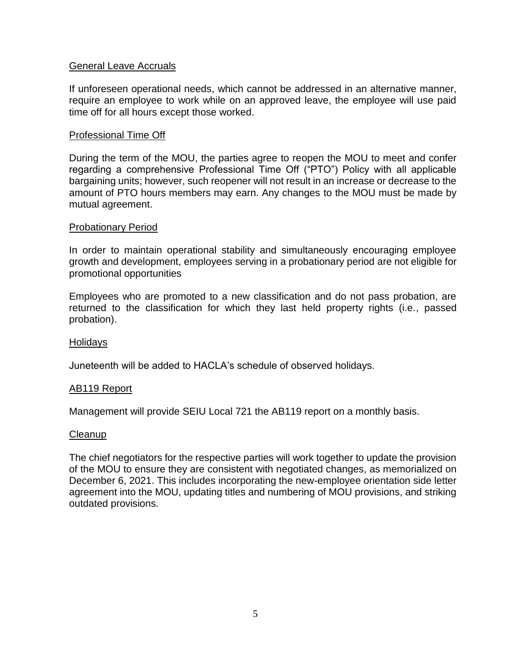## General Leave Accruals

If unforeseen operational needs, which cannot be addressed in an alternative manner, require an employee to work while on an approved leave, the employee will use paid time off for all hours except those worked.

### Professional Time Off

During the term of the MOU, the parties agree to reopen the MOU to meet and confer regarding a comprehensive Professional Time Off ("PTO") Policy with all applicable bargaining units; however, such reopener will not result in an increase or decrease to the amount of PTO hours members may earn. Any changes to the MOU must be made by mutual agreement.

### Probationary Period

In order to maintain operational stability and simultaneously encouraging employee growth and development, employees serving in a probationary period are not eligible for promotional opportunities

Employees who are promoted to a new classification and do not pass probation, are returned to the classification for which they last held property rights (i.e., passed probation).

### Holidays

Juneteenth will be added to HACLA's schedule of observed holidays.

### AB119 Report

Management will provide SEIU Local 721 the AB119 report on a monthly basis.

#### **Cleanup**

The chief negotiators for the respective parties will work together to update the provision of the MOU to ensure they are consistent with negotiated changes, as memorialized on December 6, 2021. This includes incorporating the new-employee orientation side letter agreement into the MOU, updating titles and numbering of MOU provisions, and striking outdated provisions.